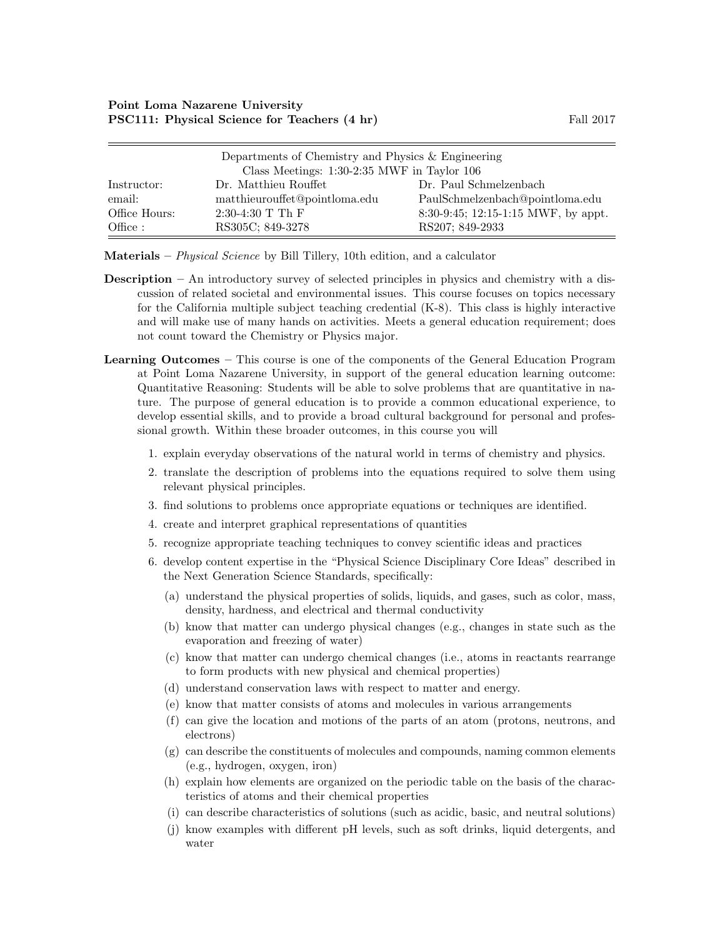| Departments of Chemistry and Physics & Engineering |                                                 |                                     |  |  |
|----------------------------------------------------|-------------------------------------------------|-------------------------------------|--|--|
|                                                    | Class Meetings: $1:30-2:35$ MWF in Taylor $106$ |                                     |  |  |
| Instructor:                                        | Dr. Matthieu Rouffet                            | Dr. Paul Schmelzenbach              |  |  |
| email:                                             | matthieurouffet@pointloma.edu                   | PaulSchmelzenbach@pointloma.edu     |  |  |
| Office Hours:                                      | $2:30-4:30$ T Th F                              | 8:30-9:45; 12:15-1:15 MWF, by appt. |  |  |
| Office :                                           | RS305C; 849-3278                                | RS207; 849-2933                     |  |  |

Materials – *Physical Science* by Bill Tillery, 10th edition, and a calculator

- Description An introductory survey of selected principles in physics and chemistry with a discussion of related societal and environmental issues. This course focuses on topics necessary for the California multiple subject teaching credential (K-8). This class is highly interactive and will make use of many hands on activities. Meets a general education requirement; does not count toward the Chemistry or Physics major.
- Learning Outcomes This course is one of the components of the General Education Program at Point Loma Nazarene University, in support of the general education learning outcome: Quantitative Reasoning: Students will be able to solve problems that are quantitative in nature. The purpose of general education is to provide a common educational experience, to develop essential skills, and to provide a broad cultural background for personal and professional growth. Within these broader outcomes, in this course you will
	- 1. explain everyday observations of the natural world in terms of chemistry and physics.
	- 2. translate the description of problems into the equations required to solve them using relevant physical principles.
	- 3. find solutions to problems once appropriate equations or techniques are identified.
	- 4. create and interpret graphical representations of quantities
	- 5. recognize appropriate teaching techniques to convey scientific ideas and practices
	- 6. develop content expertise in the "Physical Science Disciplinary Core Ideas" described in the Next Generation Science Standards, specifically:
		- (a) understand the physical properties of solids, liquids, and gases, such as color, mass, density, hardness, and electrical and thermal conductivity
		- (b) know that matter can undergo physical changes (e.g., changes in state such as the evaporation and freezing of water)
		- (c) know that matter can undergo chemical changes (i.e., atoms in reactants rearrange to form products with new physical and chemical properties)
		- (d) understand conservation laws with respect to matter and energy.
		- (e) know that matter consists of atoms and molecules in various arrangements
		- (f) can give the location and motions of the parts of an atom (protons, neutrons, and electrons)
		- $(g)$  can describe the constituents of molecules and compounds, naming common elements (e.g., hydrogen, oxygen, iron)
		- (h) explain how elements are organized on the periodic table on the basis of the characteristics of atoms and their chemical properties
		- (i) can describe characteristics of solutions (such as acidic, basic, and neutral solutions)
		- (j) know examples with different pH levels, such as soft drinks, liquid detergents, and water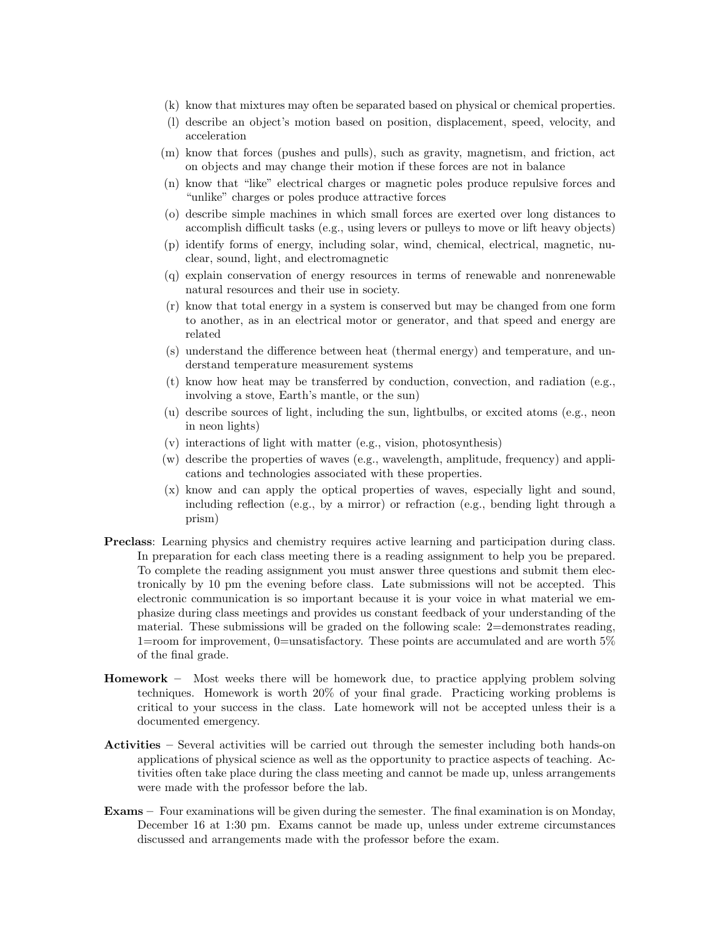- (k) know that mixtures may often be separated based on physical or chemical properties.
- (l) describe an object's motion based on position, displacement, speed, velocity, and acceleration
- (m) know that forces (pushes and pulls), such as gravity, magnetism, and friction, act on objects and may change their motion if these forces are not in balance
- (n) know that "like" electrical charges or magnetic poles produce repulsive forces and "unlike" charges or poles produce attractive forces
- (o) describe simple machines in which small forces are exerted over long distances to accomplish difficult tasks (e.g., using levers or pulleys to move or lift heavy objects)
- (p) identify forms of energy, including solar, wind, chemical, electrical, magnetic, nuclear, sound, light, and electromagnetic
- (q) explain conservation of energy resources in terms of renewable and nonrenewable natural resources and their use in society.
- (r) know that total energy in a system is conserved but may be changed from one form to another, as in an electrical motor or generator, and that speed and energy are related
- (s) understand the difference between heat (thermal energy) and temperature, and understand temperature measurement systems
- (t) know how heat may be transferred by conduction, convection, and radiation (e.g., involving a stove, Earth's mantle, or the sun)
- (u) describe sources of light, including the sun, lightbulbs, or excited atoms (e.g., neon in neon lights)
- (v) interactions of light with matter (e.g., vision, photosynthesis)
- (w) describe the properties of waves (e.g., wavelength, amplitude, frequency) and applications and technologies associated with these properties.
- (x) know and can apply the optical properties of waves, especially light and sound, including reflection (e.g., by a mirror) or refraction (e.g., bending light through a prism)
- Preclass: Learning physics and chemistry requires active learning and participation during class. In preparation for each class meeting there is a reading assignment to help you be prepared. To complete the reading assignment you must answer three questions and submit them electronically by 10 pm the evening before class. Late submissions will not be accepted. This electronic communication is so important because it is your voice in what material we emphasize during class meetings and provides us constant feedback of your understanding of the material. These submissions will be graded on the following scale:  $2=$ demonstrates reading, 1=room for improvement, 0=unsatisfactory. These points are accumulated and are worth 5% of the final grade.
- Homework Most weeks there will be homework due, to practice applying problem solving techniques. Homework is worth 20% of your final grade. Practicing working problems is critical to your success in the class. Late homework will not be accepted unless their is a documented emergency.
- Activities Several activities will be carried out through the semester including both hands-on applications of physical science as well as the opportunity to practice aspects of teaching. Activities often take place during the class meeting and cannot be made up, unless arrangements were made with the professor before the lab.
- Exams Four examinations will be given during the semester. The final examination is on Monday, December 16 at 1:30 pm. Exams cannot be made up, unless under extreme circumstances discussed and arrangements made with the professor before the exam.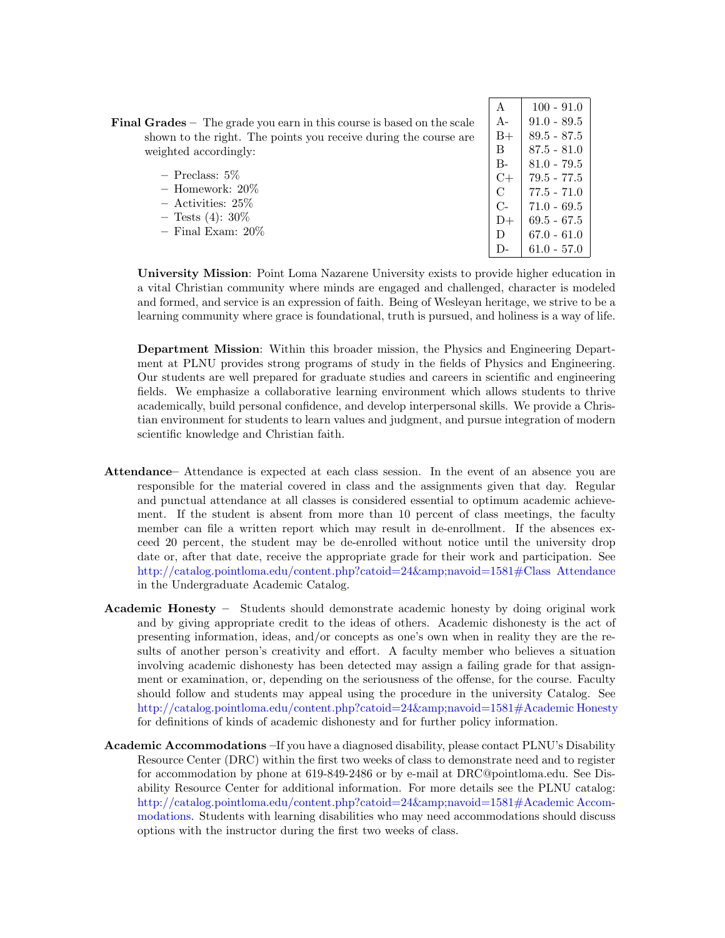| $\mathbf{A}$  | $100 - 91.0$    |
|---------------|-----------------|
| $A -$         | $91.0 - 89.5$   |
| B+            | 89.5 - 87.5     |
| R             | 87.5 - 81.0     |
| В-            | $81.0 - 79.5$   |
| C+            | 79.5 - 77.5     |
| $\mathcal{C}$ | $77.5 - 71.0$   |
| $C-$          | $71.0 - 69.5$   |
| D+            | $69.5 - 67.5$   |
| Ð             | 67.0 - 61.0     |
| $1$ ).        | $61.0$ - $57.0$ |

**Final Grades** – The grade you earn in this course is based on the scale shown to the right. The points you receive during the course are weighted accordingly:

– Preclass: 5% – Homework: 20% – Activities: 25%  $-$  Tests (4):  $30\%$ – Final Exam: 20%

University Mission: Point Loma Nazarene University exists to provide higher education in a vital Christian community where minds are engaged and challenged, character is modeled and formed, and service is an expression of faith. Being of Wesleyan heritage, we strive to be a learning community where grace is foundational, truth is pursued, and holiness is a way of life.

Department Mission: Within this broader mission, the Physics and Engineering Department at PLNU provides strong programs of study in the fields of Physics and Engineering. Our students are well prepared for graduate studies and careers in scientific and engineering fields. We emphasize a collaborative learning environment which allows students to thrive academically, build personal confidence, and develop interpersonal skills. We provide a Christian environment for students to learn values and judgment, and pursue integration of modern scientific knowledge and Christian faith.

- Attendance– Attendance is expected at each class session. In the event of an absence you are responsible for the material covered in class and the assignments given that day. Regular and punctual attendance at all classes is considered essential to optimum academic achievement. If the student is absent from more than 10 percent of class meetings, the faculty member can file a written report which may result in de-enrollment. If the absences exceed 20 percent, the student may be de-enrolled without notice until the university drop date or, after that date, receive the appropriate grade for their work and participation. See [http://catalog.pointloma.edu/content.php?catoid=24&navoid=1581#Class Attendance](http://catalog.pointloma.edu/content.php?catoid=24&navoid=1581) in the Undergraduate Academic Catalog.
- Academic Honesty Students should demonstrate academic honesty by doing original work and by giving appropriate credit to the ideas of others. Academic dishonesty is the act of presenting information, ideas, and/or concepts as one's own when in reality they are the results of another person's creativity and effort. A faculty member who believes a situation involving academic dishonesty has been detected may assign a failing grade for that assignment or examination, or, depending on the seriousness of the offense, for the course. Faculty should follow and students may appeal using the procedure in the university Catalog. See [http://catalog.pointloma.edu/content.php?catoid=24&navoid=1581#Academic Honesty](http://catalog.pointloma.edu/content.php?catoid=24&navoid=1581) for definitions of kinds of academic dishonesty and for further policy information.
- Academic Accommodations –If you have a diagnosed disability, please contact PLNU's Disability Resource Center (DRC) within the first two weeks of class to demonstrate need and to register for accommodation by phone at 619-849-2486 or by e-mail at DRC@pointloma.edu. See Disability Resource Center for additional information. For more details see the PLNU catalog: [http://catalog.pointloma.edu/content.php?catoid=24&navoid=1581#Academic Accom](http://catalog.pointloma.edu/content.php?catoid=24&navoid=1581)[modations.](http://catalog.pointloma.edu/content.php?catoid=24&navoid=1581) Students with learning disabilities who may need accommodations should discuss options with the instructor during the first two weeks of class.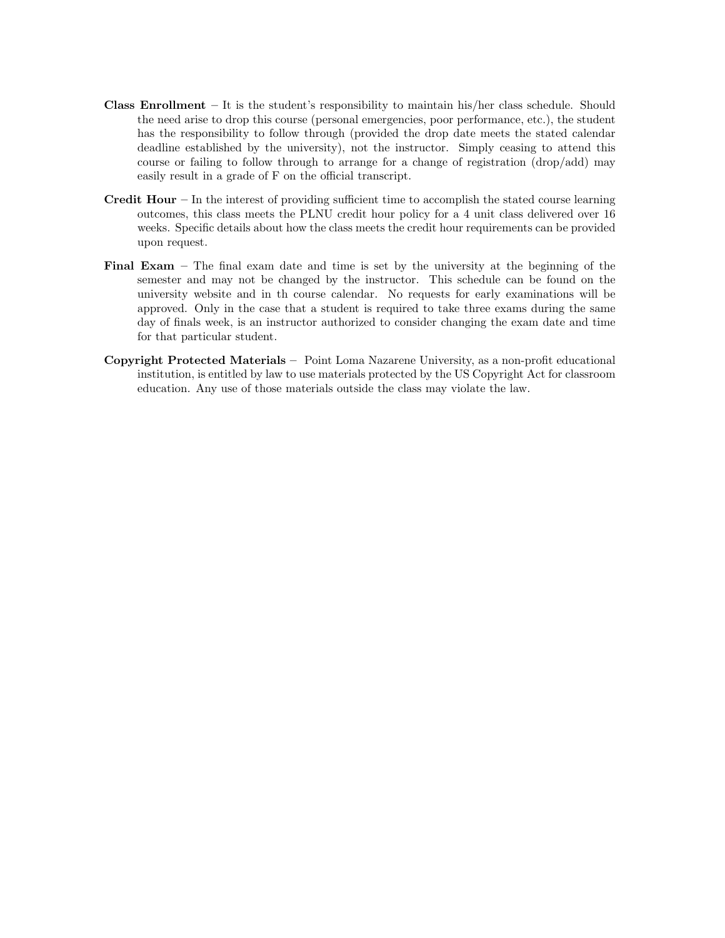- **Class Enrollment** It is the student's responsibility to maintain his/her class schedule. Should the need arise to drop this course (personal emergencies, poor performance, etc.), the student has the responsibility to follow through (provided the drop date meets the stated calendar deadline established by the university), not the instructor. Simply ceasing to attend this course or failing to follow through to arrange for a change of registration (drop/add) may easily result in a grade of F on the official transcript.
- **Credit Hour** In the interest of providing sufficient time to accomplish the stated course learning outcomes, this class meets the PLNU credit hour policy for a 4 unit class delivered over 16 weeks. Specific details about how the class meets the credit hour requirements can be provided upon request.
- Final Exam The final exam date and time is set by the university at the beginning of the semester and may not be changed by the instructor. This schedule can be found on the university website and in th course calendar. No requests for early examinations will be approved. Only in the case that a student is required to take three exams during the same day of finals week, is an instructor authorized to consider changing the exam date and time for that particular student.
- Copyright Protected Materials Point Loma Nazarene University, as a non-profit educational institution, is entitled by law to use materials protected by the US Copyright Act for classroom education. Any use of those materials outside the class may violate the law.